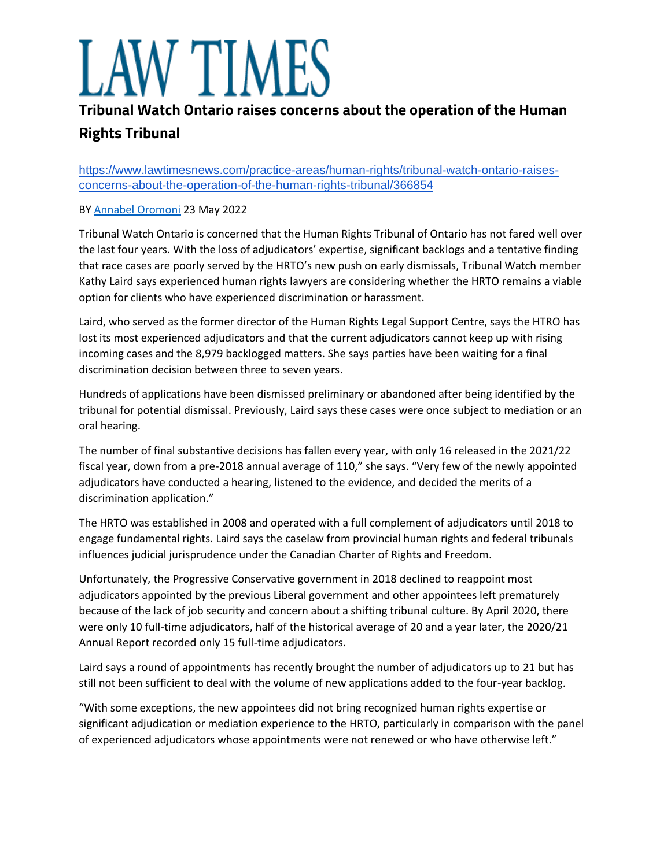# W TIMES

## **Tribunal Watch Ontario raises concerns about the operation of the Human**

# **Rights Tribunal**

https://www.lawtimesnews.com/practice-areas/human-rights/tribunal-watch-ontario-raisesconcerns-about-the-operation-of-the-human-rights-tribunal/366854

### BY [Annabel Oromoni](https://www.lawtimesnews.com/authors/annabel-oromoni) 23 May 2022

Tribunal Watch Ontario is concerned that the Human Rights Tribunal of Ontario has not fared well over the last four years. With the loss of adjudicators' expertise, significant backlogs and a tentative finding that race cases are poorly served by the HRTO's new push on early dismissals, Tribunal Watch member Kathy Laird says experienced human rights lawyers are considering whether the HRTO remains a viable option for clients who have experienced discrimination or harassment.

Laird, who served as the former director of the Human Rights Legal Support Centre, says the HTRO has lost its most experienced adjudicators and that the current adjudicators cannot keep up with rising incoming cases and the 8,979 backlogged matters. She says parties have been waiting for a final discrimination decision between three to seven years.

Hundreds of applications have been dismissed preliminary or abandoned after being identified by the tribunal for potential dismissal. Previously, Laird says these cases were once subject to mediation or an oral hearing.

The number of final substantive decisions has fallen every year, with only 16 released in the 2021/22 fiscal year, down from a pre-2018 annual average of 110," she says. "Very few of the newly appointed adjudicators have conducted a hearing, listened to the evidence, and decided the merits of a discrimination application."

The HRTO was established in 2008 and operated with a full complement of adjudicators until 2018 to engage fundamental rights. Laird says the caselaw from provincial human rights and federal tribunals influences judicial jurisprudence under the Canadian Charter of Rights and Freedom.

Unfortunately, the Progressive Conservative government in 2018 declined to reappoint most adjudicators appointed by the previous Liberal government and other appointees left prematurely because of the lack of job security and concern about a shifting tribunal culture. By April 2020, there were only 10 full-time adjudicators, half of the historical average of 20 and a year later, the 2020/21 Annual Report recorded only 15 full-time adjudicators.

Laird says a round of appointments has recently brought the number of adjudicators up to 21 but has still not been sufficient to deal with the volume of new applications added to the four-year backlog.

"With some exceptions, the new appointees did not bring recognized human rights expertise or significant adjudication or mediation experience to the HRTO, particularly in comparison with the panel of experienced adjudicators whose appointments were not renewed or who have otherwise left."